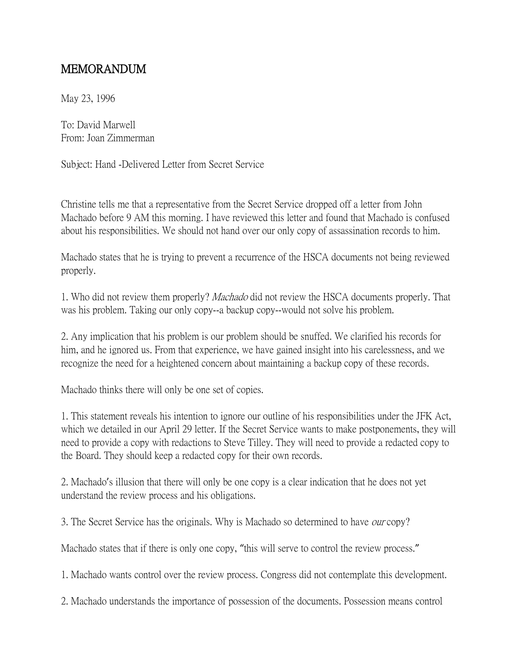## MEMORANDUM

May 23, 1996

To: David Marwell From: Joan Zimmerman

Subject: Hand -Delivered Letter from Secret Service

Christine tells me that a representative from the Secret Service dropped off a letter from John Machado before 9 AM this morning. I have reviewed this letter and found that Machado is confused about his responsibilities. We should not hand over our only copy of assassination records to him.

Machado states that he is trying to prevent a recurrence of the HSCA documents not being reviewed properly.

1. Who did not review them properly? *Machado* did not review the HSCA documents properly. That was his problem. Taking our only copy--a backup copy--would not solve his problem.

2. Any implication that his problem is our problem should be snuffed. We clarified his records for him, and he ignored us. From that experience, we have gained insight into his carelessness, and we recognize the need for a heightened concern about maintaining a backup copy of these records.

Machado thinks there will only be one set of copies.

1. This statement reveals his intention to ignore our outline of his responsibilities under the JFK Act, which we detailed in our April 29 letter. If the Secret Service wants to make postponements, they will need to provide a copy with redactions to Steve Tilley. They will need to provide a redacted copy to the Board. They should keep a redacted copy for their own records.

2. Machado's illusion that there will only be one copy is a clear indication that he does not yet understand the review process and his obligations.

3. The Secret Service has the originals. Why is Machado so determined to have *our* copy?

Machado states that if there is only one copy, "this will serve to control the review process."

1. Machado wants control over the review process. Congress did not contemplate this development.

2. Machado understands the importance of possession of the documents. Possession means control